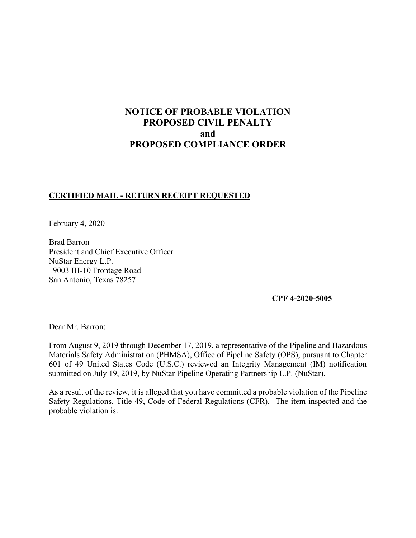# **NOTICE OF PROBABLE VIOLATION PROPOSED CIVIL PENALTY and PROPOSED COMPLIANCE ORDER**

## **CERTIFIED MAIL - RETURN RECEIPT REQUESTED**

February 4, 2020

Brad Barron President and Chief Executive Officer NuStar Energy L.P. 19003 IH-10 Frontage Road San Antonio, Texas 78257

**CPF 4-2020-5005** 

Dear Mr. Barron:

From August 9, 2019 through December 17, 2019, a representative of the Pipeline and Hazardous Materials Safety Administration (PHMSA), Office of Pipeline Safety (OPS), pursuant to Chapter 601 of 49 United States Code (U.S.C.) reviewed an Integrity Management (IM) notification submitted on July 19, 2019, by NuStar Pipeline Operating Partnership L.P. (NuStar).

As a result of the review, it is alleged that you have committed a probable violation of the Pipeline Safety Regulations, Title 49, Code of Federal Regulations (CFR). The item inspected and the probable violation is: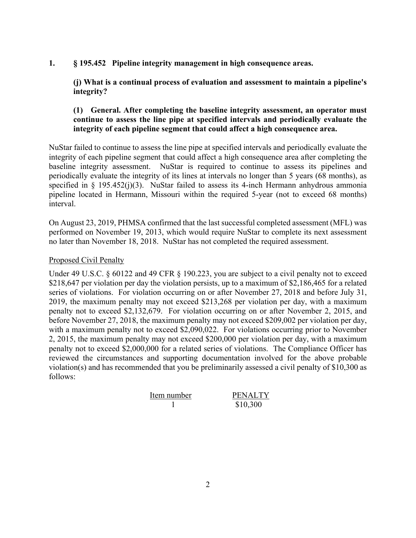#### **1. § 195.452 Pipeline integrity management in high consequence areas.**

**(j) What is a continual process of evaluation and assessment to maintain a pipeline's integrity?** 

# **(1) General. After completing the baseline integrity assessment, an operator must continue to assess the line pipe at specified intervals and periodically evaluate the integrity of each pipeline segment that could affect a high consequence area.**

NuStar failed to continue to assess the line pipe at specified intervals and periodically evaluate the integrity of each pipeline segment that could affect a high consequence area after completing the baseline integrity assessment. NuStar is required to continue to assess its pipelines and periodically evaluate the integrity of its lines at intervals no longer than 5 years (68 months), as specified in  $\S$  195.452(j)(3). NuStar failed to assess its 4-inch Hermann anhydrous ammonia pipeline located in Hermann, Missouri within the required 5-year (not to exceed 68 months) interval.

On August 23, 2019, PHMSA confirmed that the last successful completed assessment (MFL) was performed on November 19, 2013, which would require NuStar to complete its next assessment no later than November 18, 2018. NuStar has not completed the required assessment.

#### Proposed Civil Penalty

Under 49 U.S.C. § 60122 and 49 CFR § 190.223, you are subject to a civil penalty not to exceed \$218,647 per violation per day the violation persists, up to a maximum of \$2,186,465 for a related series of violations. For violation occurring on or after November 27, 2018 and before July 31, 2019, the maximum penalty may not exceed \$213,268 per violation per day, with a maximum penalty not to exceed \$2,132,679. For violation occurring on or after November 2, 2015, and before November 27, 2018, the maximum penalty may not exceed \$209,002 per violation per day, with a maximum penalty not to exceed \$2,090,022. For violations occurring prior to November 2, 2015, the maximum penalty may not exceed \$200,000 per violation per day, with a maximum penalty not to exceed \$2,000,000 for a related series of violations. The Compliance Officer has reviewed the circumstances and supporting documentation involved for the above probable violation(s) and has recommended that you be preliminarily assessed a civil penalty of \$10,300 as follows:

 1 \$10,300

**ALTY**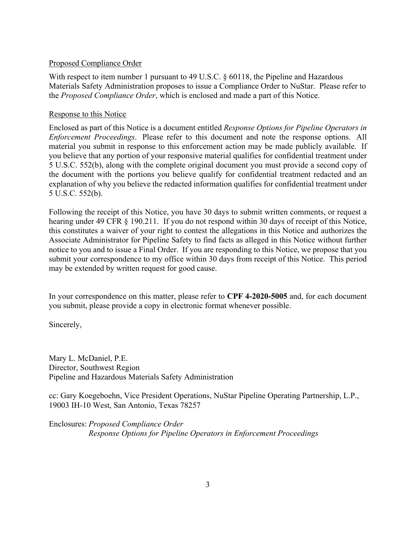#### Proposed Compliance Order

With respect to item number 1 pursuant to 49 U.S.C. § 60118, the Pipeline and Hazardous Materials Safety Administration proposes to issue a Compliance Order to NuStar. Please refer to the *Proposed Compliance Order*, which is enclosed and made a part of this Notice.

## Response to this Notice

Enclosed as part of this Notice is a document entitled *Response Options for Pipeline Operators in Enforcement Proceedings*. Please refer to this document and note the response options. All material you submit in response to this enforcement action may be made publicly available. If you believe that any portion of your responsive material qualifies for confidential treatment under 5 U.S.C. 552(b), along with the complete original document you must provide a second copy of the document with the portions you believe qualify for confidential treatment redacted and an explanation of why you believe the redacted information qualifies for confidential treatment under 5 U.S.C. 552(b).

Following the receipt of this Notice, you have 30 days to submit written comments, or request a hearing under 49 CFR § 190.211. If you do not respond within 30 days of receipt of this Notice, this constitutes a waiver of your right to contest the allegations in this Notice and authorizes the Associate Administrator for Pipeline Safety to find facts as alleged in this Notice without further notice to you and to issue a Final Order. If you are responding to this Notice, we propose that you submit your correspondence to my office within 30 days from receipt of this Notice. This period may be extended by written request for good cause.

In your correspondence on this matter, please refer to **CPF 4-2020-5005** and, for each document you submit, please provide a copy in electronic format whenever possible.

Sincerely,

Mary L. McDaniel, P.E. Director, Southwest Region Pipeline and Hazardous Materials Safety Administration

cc: Gary Koegeboehn, Vice President Operations, NuStar Pipeline Operating Partnership, L.P., 19003 IH-10 West, San Antonio, Texas 78257

Enclosures: *Proposed Compliance Order Response Options for Pipeline Operators in Enforcement Proceedings*